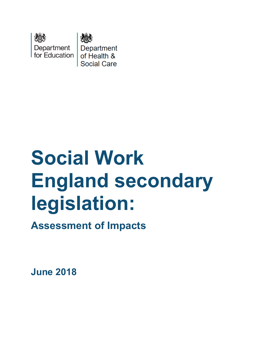

# **Social Work England secondary legislation:**

**Assessment of Impacts** 

**June 2018**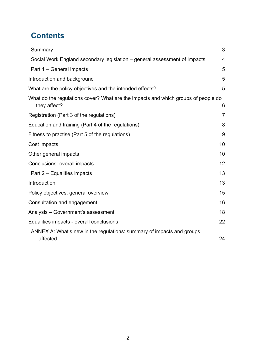## **Contents**

| Summary                                                                                           | 3              |
|---------------------------------------------------------------------------------------------------|----------------|
| Social Work England secondary legislation - general assessment of impacts                         | 4              |
| Part 1 – General impacts                                                                          | 5              |
| Introduction and background                                                                       | 5              |
| What are the policy objectives and the intended effects?                                          | 5              |
| What do the regulations cover? What are the impacts and which groups of people do<br>they affect? | 6              |
| Registration (Part 3 of the regulations)                                                          | $\overline{7}$ |
| Education and training (Part 4 of the regulations)                                                | 8              |
| Fitness to practise (Part 5 of the regulations)                                                   | 9              |
| Cost impacts                                                                                      | 10             |
| Other general impacts                                                                             | 10             |
| Conclusions: overall impacts                                                                      | 12             |
| Part 2 – Equalities impacts                                                                       | 13             |
| Introduction                                                                                      | 13             |
| Policy objectives: general overview                                                               | 15             |
| Consultation and engagement                                                                       | 16             |
| Analysis - Government's assessment                                                                | 18             |
| Equalities impacts - overall conclusions                                                          | 22             |
| ANNEX A: What's new in the regulations: summary of impacts and groups<br>affected                 | 24             |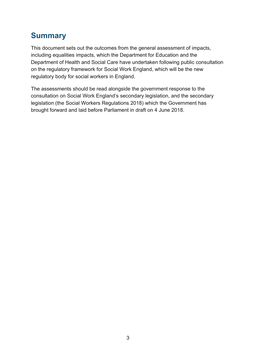## <span id="page-2-0"></span>**Summary**

This document sets out the outcomes from the general assessment of impacts, including equalities impacts, which the Department for Education and the Department of Health and Social Care have undertaken following public consultation on the regulatory framework for Social Work England, which will be the new regulatory body for social workers in England.

The assessments should be read alongside the government response to the consultation on Social Work England's secondary legislation, and the secondary legislation (the Social Workers Regulations 2018) which the Government has brought forward and laid before Parliament in draft on 4 June 2018.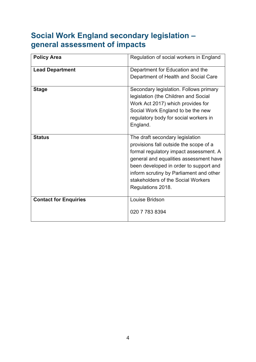## <span id="page-3-0"></span>**Social Work England secondary legislation – general assessment of impacts**

| <b>Policy Area</b>           | Regulation of social workers in England                                                                                                                                                                                                                                                                       |
|------------------------------|---------------------------------------------------------------------------------------------------------------------------------------------------------------------------------------------------------------------------------------------------------------------------------------------------------------|
| <b>Lead Department</b>       | Department for Education and the<br>Department of Health and Social Care                                                                                                                                                                                                                                      |
| <b>Stage</b>                 | Secondary legislation. Follows primary<br>legislation (the Children and Social<br>Work Act 2017) which provides for<br>Social Work England to be the new<br>regulatory body for social workers in<br>England.                                                                                                 |
| <b>Status</b>                | The draft secondary legislation<br>provisions fall outside the scope of a<br>formal regulatory impact assessment. A<br>general and equalities assessment have<br>been developed in order to support and<br>inform scrutiny by Parliament and other<br>stakeholders of the Social Workers<br>Regulations 2018. |
| <b>Contact for Enquiries</b> | Louise Bridson<br>020 7 783 8394                                                                                                                                                                                                                                                                              |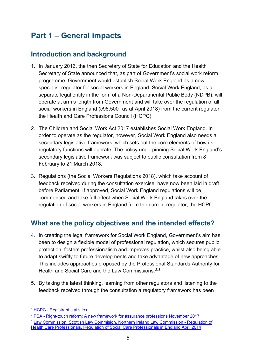## <span id="page-4-0"></span>**Part 1 – General impacts**

#### <span id="page-4-1"></span>**Introduction and background**

- 1. In January 2016, the then Secretary of State for Education and the Health Secretary of State announced that, as part of Government's social work reform programme, Government would establish Social Work England as a new, specialist regulator for social workers in England. Social Work England, as a separate legal entity in the form of a Non-Departmental Public Body (NDPB), will operate at arm's length from Government and will take over the regulation of all social workers in England (c96,500<sup>[1](#page-4-3)</sup> as at April 2018) from the current regulator, the Health and Care Professions Council (HCPC).
- 2. The Children and Social Work Act 2017 establishes Social Work England. In order to operate as the regulator, however, Social Work England also needs a secondary legislative framework, which sets out the core elements of how its regulatory functions will operate. The policy underpinning Social Work England's secondary legislative framework was subject to public consultation from 8 February to 21 March 2018.
- 3. Regulations (the Social Workers Regulations 2018), which take account of feedback received during the consultation exercise, have now been laid in draft before Parliament. If approved, Social Work England regulations will be commenced and take full effect when Social Work England takes over the regulation of social workers in England from the current regulator, the HCPC.

#### <span id="page-4-2"></span>**What are the policy objectives and the intended effects?**

- 4. In creating the legal framework for Social Work England, Government's aim has been to design a flexible model of professional regulation, which secures public protection, fosters professionalism and improves practice, whilst also being able to adapt swiftly to future developments and take advantage of new approaches. This includes approaches proposed by the Professional Standards Authority for Health and Social Care and the Law Commissions.<sup>[2,](#page-4-4)[3](#page-4-5)</sup>
- 5. By taking the latest thinking, learning from other regulators and listening to the feedback received through the consultation a regulatory framework has been

- <span id="page-4-4"></span><sup>2</sup> PSA - [Right-touch reform: A new framework for assurance professions November 2017](https://www.professionalstandards.org.uk/docs/default-source/publications/thought-paper/right-touch-reform-2017.pdf?sfvrsn=2e517320_5)
- <span id="page-4-5"></span><sup>3</sup> [Law Commission, Scottish Law Commision, Northern Ireland Law Commission -](https://s3-eu-west-2.amazonaws.com/lawcom-prod-storage-11jsxou24uy7q/uploads/2015/03/lc345_regulation_of_healthcare_professionals.pdf) Regulation of Health Care Professionals, Regulation [of Social Care Professionals in England April 2014](https://s3-eu-west-2.amazonaws.com/lawcom-prod-storage-11jsxou24uy7q/uploads/2015/03/lc345_regulation_of_healthcare_professionals.pdf)

<span id="page-4-3"></span> <sup>1</sup> HCPC - [Registrant statistics](http://www.hpc-uk.org/aboutregistration/theregister/stats/)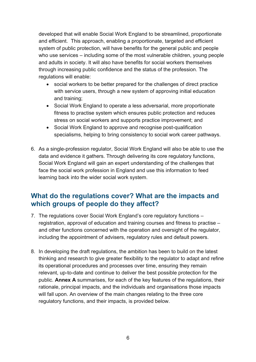developed that will enable Social Work England to be streamlined, proportionate and efficient. This approach, enabling a proportionate, targeted and efficient system of public protection, will have benefits for the general public and people who use services – including some of the most vulnerable children, young people and adults in society. It will also have benefits for social workers themselves through increasing public confidence and the status of the profession. The regulations will enable:

- social workers to be better prepared for the challenges of direct practice with service users, through a new system of approving initial education and training;
- Social Work England to operate a less adversarial, more proportionate fitness to practise system which ensures public protection and reduces stress on social workers and supports practice improvement; and
- Social Work England to approve and recognise post-qualification specialisms, helping to bring consistency to social work career pathways.
- 6. As a single-profession regulator, Social Work England will also be able to use the data and evidence it gathers. Through delivering its core regulatory functions, Social Work England will gain an expert understanding of the challenges that face the social work profession in England and use this information to feed learning back into the wider social work system.

#### <span id="page-5-0"></span>**What do the regulations cover? What are the impacts and which groups of people do they affect?**

- 7. The regulations cover Social Work England's core regulatory functions registration, approval of education and training courses and fitness to practise – and other functions concerned with the operation and oversight of the regulator, including the appointment of advisers, regulatory rules and default powers.
- 8. In developing the draft regulations, the ambition has been to build on the latest thinking and research to give greater flexibility to the regulator to adapt and refine its operational procedures and processes over time, ensuring they remain relevant, up-to-date and continue to deliver the best possible protection for the public. **Annex A** summarises, for each of the key features of the regulations, their rationale, principal impacts, and the individuals and organisations those impacts will fall upon. An overview of the main changes relating to the three core regulatory functions, and their impacts, is provided below.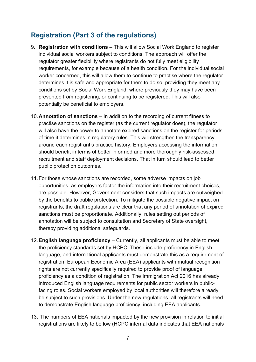#### <span id="page-6-0"></span>**Registration (Part 3 of the regulations)**

- 9. **Registration with conditions** This will allow Social Work England to register individual social workers subject to conditions. The approach will offer the regulator greater flexibility where registrants do not fully meet eligibility requirements, for example because of a health condition. For the individual social worker concerned, this will allow them to continue to practise where the regulator determines it is safe and appropriate for them to do so, providing they meet any conditions set by Social Work England, where previously they may have been prevented from registering, or continuing to be registered. This will also potentially be beneficial to employers.
- 10.**Annotation of sanctions** In addition to the recording of current fitness to practise sanctions on the register (as the current regulator does), the regulator will also have the power to annotate expired sanctions on the register for periods of time it determines in regulatory rules. This will strengthen the transparency around each registrant's practice history. Employers accessing the information should benefit in terms of better informed and more thoroughly risk-assessed recruitment and staff deployment decisions. That in turn should lead to better public protection outcomes.
- 11.For those whose sanctions are recorded, some adverse impacts on job opportunities, as employers factor the information into their recruitment choices, are possible. However, Government considers that such impacts are outweighed by the benefits to public protection. To mitigate the possible negative impact on registrants, the draft regulations are clear that any period of annotation of expired sanctions must be proportionate. Additionally, rules setting out periods of annotation will be subject to consultation and Secretary of State oversight, thereby providing additional safeguards.
- 12.**English language proficiency** Currently, all applicants must be able to meet the proficiency standards set by HCPC. These include proficiency in English language, and international applicants must demonstrate this as a requirement of registration. European Economic Area (EEA) applicants with mutual recognition rights are not currently specifically required to provide proof of language proficiency as a condition of registration. The Immigration Act 2016 has already introduced English language requirements for public sector workers in publicfacing roles. Social workers employed by local authorities will therefore already be subject to such provisions. Under the new regulations, all registrants will need to demonstrate English language proficiency, including EEA applicants.
- 13. The numbers of EEA nationals impacted by the new provision in relation to initial registrations are likely to be low (HCPC internal data indicates that EEA nationals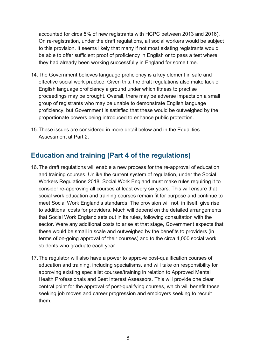accounted for circa 5% of new registrants with HCPC between 2013 and 2016). On re-registration, under the draft regulations, all social workers would be subject to this provision. It seems likely that many if not most existing registrants would be able to offer sufficient proof of proficiency in English or to pass a test where they had already been working successfully in England for some time.

- 14.The Government believes language proficiency is a key element in safe and effective social work practice. Given this, the draft regulations also make lack of English language proficiency a ground under which fitness to practise proceedings may be brought. Overall, there may be adverse impacts on a small group of registrants who may be unable to demonstrate English language proficiency, but Government is satisfied that these would be outweighed by the proportionate powers being introduced to enhance public protection.
- 15.These issues are considered in more detail below and in the Equalities Assessment at Part 2.

#### <span id="page-7-0"></span>**Education and training (Part 4 of the regulations)**

- 16.The draft regulations will enable a new process for the re-approval of education and training courses. Unlike the current system of regulation, under the Social Workers Regulations 2018, Social Work England must make rules requiring it to consider re-approving all courses at least every six years. This will ensure that social work education and training courses remain fit for purpose and continue to meet Social Work England's standards. The provision will not, in itself, give rise to additional costs for providers. Much will depend on the detailed arrangements that Social Work England sets out in its rules, following consultation with the sector. Were any additional costs to arise at that stage, Government expects that these would be small in scale and outweighed by the benefits to providers (in terms of on-going approval of their courses) and to the circa 4,000 social work students who graduate each year.
- 17.The regulator will also have a power to approve post-qualification courses of education and training, including specialisms, and will take on responsibility for approving existing specialist courses/training in relation to Approved Mental Health Professionals and Best Interest Assessors. This will provide one clear central point for the approval of post-qualifying courses, which will benefit those seeking job moves and career progression and employers seeking to recruit them.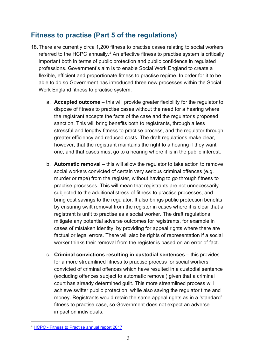#### <span id="page-8-0"></span>**Fitness to practise (Part 5 of the regulations)**

- 18.There are currently circa 1,200 fitness to practise cases relating to social workers referred to the HCPC annually.<sup>[4](#page-8-1)</sup> An effective fitness to practise system is critically important both in terms of public protection and public confidence in regulated professions. Government's aim is to enable Social Work England to create a flexible, efficient and proportionate fitness to practise regime. In order for it to be able to do so Government has introduced three new processes within the Social Work England fitness to practise system:
	- a. **Accepted outcome** this will provide greater flexibility for the regulator to dispose of fitness to practise cases without the need for a hearing where the registrant accepts the facts of the case and the regulator's proposed sanction. This will bring benefits both to registrants, through a less stressful and lengthy fitness to practise process, and the regulator through greater efficiency and reduced costs. The draft regulations make clear, however, that the registrant maintains the right to a hearing if they want one, and that cases must go to a hearing where it is in the public interest.
	- b. **Automatic removal** this will allow the regulator to take action to remove social workers convicted of certain very serious criminal offences (e.g. murder or rape) from the register, without having to go through fitness to practise processes. This will mean that registrants are not unnecessarily subjected to the additional stress of fitness to practise processes, and bring cost savings to the regulator. It also brings public protection benefits by ensuring swift removal from the register in cases where it is clear that a registrant is unfit to practise as a social worker. The draft regulations mitigate any potential adverse outcomes for registrants, for example in cases of mistaken identity, by providing for appeal rights where there are factual or legal errors. There will also be rights of representation if a social worker thinks their removal from the register is based on an error of fact.
	- c. **Criminal convictions resulting in custodial sentences** this provides for a more streamlined fitness to practise process for social workers convicted of criminal offences which have resulted in a custodial sentence (excluding offences subject to automatic removal) given that a criminal court has already determined guilt. This more streamlined process will achieve swifter public protection, while also saving the regulator time and money. Registrants would retain the same appeal rights as in a 'standard' fitness to practise case, so Government does not expect an adverse impact on individuals.

<span id="page-8-1"></span> <sup>4</sup> HCPC - [Fitness to Practise annual report 2017](http://www.hpc-uk.org/assets/documents/100055BAFitnesstopractiseannualreport2017.pdf)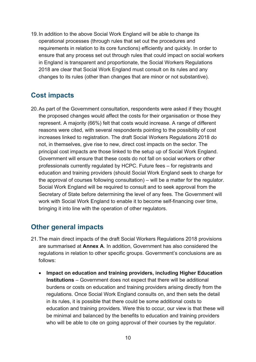19.In addition to the above Social Work England will be able to change its operational processes (through rules that set out the procedures and requirements in relation to its core functions) efficiently and quickly. In order to ensure that any process set out through rules that could impact on social workers in England is transparent and proportionate, the Social Workers Regulations 2018 are clear that Social Work England must consult on its rules and any changes to its rules (other than changes that are minor or not substantive).

#### <span id="page-9-0"></span>**Cost impacts**

20.As part of the Government consultation, respondents were asked if they thought the proposed changes would affect the costs for their organisation or those they represent. A majority (66%) felt that costs would increase. A range of different reasons were cited, with several respondents pointing to the possibility of cost increases linked to registration. The draft Social Workers Regulations 2018 do not, in themselves, give rise to new, direct cost impacts on the sector. The principal cost impacts are those linked to the setup up of Social Work England. Government will ensure that these costs do not fall on social workers or other professionals currently regulated by HCPC. Future fees – for registrants and education and training providers (should Social Work England seek to charge for the approval of courses following consultation) – will be a matter for the regulator. Social Work England will be required to consult and to seek approval from the Secretary of State before determining the level of any fees. The Government will work with Social Work England to enable it to become self-financing over time, bringing it into line with the operation of other regulators.

#### <span id="page-9-1"></span>**Other general impacts**

- 21.The main direct impacts of the draft Social Workers Regulations 2018 provisions are summarised at **Annex A**. In addition, Government has also considered the regulations in relation to other specific groups. Government's conclusions are as follows:
	- **Impact on education and training providers, including Higher Education Institutions** – Government does not expect that there will be additional burdens or costs on education and training providers arising directly from the regulations. Once Social Work England consults on, and then sets the detail in its rules, it is possible that there could be some additional costs to education and training providers. Were this to occur, our view is that these will be minimal and balanced by the benefits to education and training providers who will be able to cite on going approval of their courses by the regulator.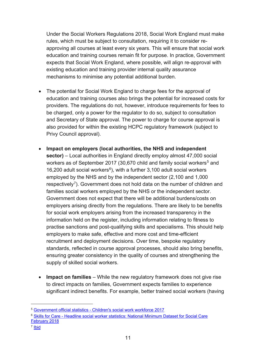Under the Social Workers Regulations 2018, Social Work England must make rules, which must be subject to consultation, requiring it to consider reapproving all courses at least every six years. This will ensure that social work education and training courses remain fit for purpose. In practice, Government expects that Social Work England, where possible, will align re-approval with existing education and training provider internal quality assurance mechanisms to minimise any potential additional burden.

- The potential for Social Work England to charge fees for the approval of education and training courses also brings the potential for increased costs for providers. The regulations do not, however, introduce requirements for fees to be charged, only a power for the regulator to do so, subject to consultation and Secretary of State approval. The power to charge for course approval is also provided for within the existing HCPC regulatory framework (subject to Privy Council approval).
- **Impact on employers (local authorities, the NHS and independent sector)** – Local authorities in England directly employ almost 47,000 social workers as of September 2017 (30,670 child and family social workers<sup>[5](#page-10-0)</sup> and 1[6](#page-10-1),200 adult social workers $6$ ), with a further 3,100 adult social workers employed by the NHS and by the independent sector (2,100 and 1,000 respectively<sup>[7](#page-10-2)</sup>). Government does not hold data on the number of children and families social workers employed by the NHS or the independent sector. Government does not expect that there will be additional burdens/costs on employers arising directly from the regulations. There are likely to be benefits for social work employers arising from the increased transparency in the information held on the register, including information relating to fitness to practise sanctions and post-qualifying skills and specialisms. This should help employers to make safe, effective and more cost and time-efficient recruitment and deployment decisions. Over time, bespoke regulatory standards, reflected in course approval processes, should also bring benefits, ensuring greater consistency in the quality of courses and strengthening the supply of skilled social workers.
- **Impact on families** While the new regulatory framework does not give rise to direct impacts on families, Government expects families to experience significant indirect benefits. For example, better trained social workers (having

<span id="page-10-2"></span><sup>7</sup> [Ibid](https://www.skillsforcare.org.uk/NMDS-SC-intelligence/Workforce-intelligence/documents/2Social-Worker-headline-data.pdf)

<span id="page-10-0"></span> <sup>5</sup> Government official statistics - [Children's social work workforce 2017](https://www.gov.uk/government/statistics/childrens-social-work-workforce-2017) 

<span id="page-10-1"></span><sup>6</sup> Skills for Care - [Headline social worker statistics: National Minimum Dataset for Social Care](https://www.skillsforcare.org.uk/NMDS-SC-intelligence/Workforce-intelligence/documents/2Social-Worker-headline-data.pdf)  [February 2018](https://www.skillsforcare.org.uk/NMDS-SC-intelligence/Workforce-intelligence/documents/2Social-Worker-headline-data.pdf)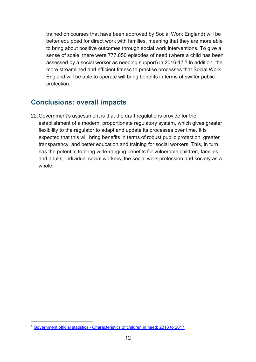trained on courses that have been approved by Social Work England) will be better equipped for direct work with families, meaning that they are more able to bring about positive outcomes through social work interventions. To give a sense of scale, there were 777,850 episodes of need (where a child has been assessed by a social worker as needing support) in 2016-17.<sup>[8](#page-11-1)</sup> In addition, the more streamlined and efficient fitness to practise processes that Social Work England will be able to operate will bring benefits in terms of swifter public protection.

#### <span id="page-11-0"></span>**Conclusions: overall impacts**

22.Government's assessment is that the draft regulations provide for the establishment of a modern, proportionate regulatory system, which gives greater flexibility to the regulator to adapt and update its processes over time. It is expected that this will bring benefits in terms of robust public protection, greater transparency, and better education and training for social workers. This, in turn, has the potential to bring wide-ranging benefits for vulnerable children, families and adults, individual social workers, the social work profession and society as a whole.

<span id="page-11-1"></span> <sup>8</sup> Government official statistics - [Characteristics of children in need: 2016 to 2017](https://www.gov.uk/government/statistics/characteristics-of-children-in-need-2016-to-2017)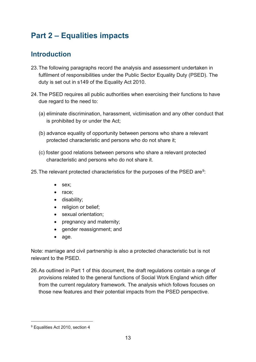## <span id="page-12-0"></span>**Part 2 – Equalities impacts**

### <span id="page-12-1"></span>**Introduction**

- 23.The following paragraphs record the analysis and assessment undertaken in fulfilment of responsibilities under the Public Sector Equality Duty (PSED). The duty is set out in s149 of the Equality Act 2010.
- 24.The PSED requires all public authorities when exercising their functions to have due regard to the need to:
	- (a) eliminate discrimination, harassment, victimisation and any other conduct that is prohibited by or under the Act;
	- (b) advance equality of opportunity between persons who share a relevant protected characteristic and persons who do not share it;
	- (c) foster good relations between persons who share a relevant protected characteristic and persons who do not share it.
- 25. The relevant protected characteristics for the purposes of the PSED are<sup>[9](#page-12-2)</sup>:
	- sex;
	- race;
	- disability;
	- religion or belief;
	- sexual orientation;
	- pregnancy and maternity;
	- gender reassignment; and
	- age.

Note: marriage and civil partnership is also a protected characteristic but is not relevant to the PSED.

26.As outlined in Part 1 of this document, the draft regulations contain a range of provisions related to the general functions of Social Work England which differ from the current regulatory framework. The analysis which follows focuses on those new features and their potential impacts from the PSED perspective.

<span id="page-12-2"></span> <sup>9</sup> Equalities Act 2010, section 4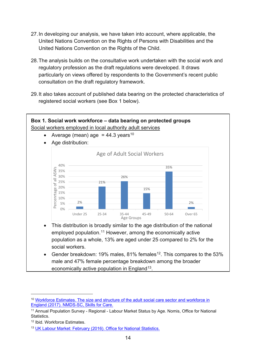- 27.In developing our analysis, we have taken into account, where applicable, the United Nations Convention on the Rights of Persons with Disabilities and the United Nations Convention on the Rights of the Child.
- 28.The analysis builds on the consultative work undertaken with the social work and regulatory profession as the draft regulations were developed. It draws particularly on views offered by respondents to the Government's recent public consultation on the draft regulatory framework.
- 29.It also takes account of published data bearing on the protected characteristics of registered social workers (see Box 1 below).



Gender breakdown: 19% males, 81% females<sup>12</sup>. This compares to the 53% male and 47% female percentage breakdown among the broader economically active population in England<sup>[13](#page-13-3)</sup>.

<span id="page-13-0"></span><sup>&</sup>lt;sup>10</sup> [Workforce Estimates. The size and structure of the](https://www.skillsforcare.org.uk/NMDS-SC-intelligence/Workforce-intelligence/publications/The-size-and-structure-of-the-adult-social-care-sector-and-workforce-in-England.aspx) adult social care sector and workforce in [England \(2017\). NMDS-SC, Skills for Care.](https://www.skillsforcare.org.uk/NMDS-SC-intelligence/Workforce-intelligence/publications/The-size-and-structure-of-the-adult-social-care-sector-and-workforce-in-England.aspx)

<span id="page-13-1"></span><sup>11</sup> Annual Population Survey - Regional - Labour Market Status by Age. Nomis, Office for National Statistics.

<span id="page-13-2"></span><sup>12</sup> Ibid. Workforce Estimates.

<span id="page-13-3"></span><sup>&</sup>lt;sup>13</sup> [UK Labour Market: February \(2016\). Office for National Statistics.](https://www.ons.gov.uk/employmentandlabourmarket/peopleinwork/employmentandemployeetypes/bulletins/uklabourmarket/february2016)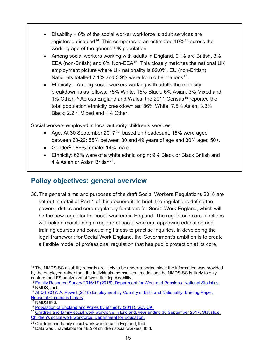- Disability 6% of the social worker workforce is adult services are registered disabled<sup>14</sup>. This compares to an estimated 19%<sup>[15](#page-14-2)</sup> across the working-age of the general UK population.
- Among social workers working with adults in England, 91% are British, 3% EEA (non-British) and 6% Non-EEA<sup>[16](#page-14-3)</sup>. This closely matches the national UK employment picture where UK nationality is 89.0%, EU (non-British) Nationals totalled 7.1% and 3.9% were from other nations<sup>17</sup>.
- Ethnicity Among social workers working with adults the ethnicity breakdown is as follows: 75% White; 15% Black; 6% Asian; 3% Mixed and 1% Other.<sup>[18](#page-14-5)</sup> Across England and Wales, the 2011 Census<sup>[19](#page-14-6)</sup> reported the total population ethnicity breakdown as: 86% White; 7.5% Asian; 3.3% Black; 2.2% Mixed and 1% Other.

Social workers employed in local authority children's services

- Age: At 30 September [20](#page-14-7)17<sup>20</sup>, based on headcount, 15% were aged between 20-29; 55% between 30 and 49 years of age and 30% aged 50+.
- Gender<sup>[21](#page-14-8)</sup>: 86% female; 14% male.
- Ethnicity: 66% were of a white ethnic origin; 9% Black or Black British and 4% Asian or Asian British<sup>[22](#page-14-9)</sup>.

#### <span id="page-14-0"></span>**Policy objectives: general overview**

30. The general aims and purposes of the draft Social Workers Regulations 2018 are set out in detail at Part 1 of this document. In brief, the regulations define the powers, duties and core regulatory functions for Social Work England, which will be the new regulator for social workers in England. The regulator's core functions will include maintaining a register of social workers, approving education and training courses and conducting fitness to practise inquiries. In developing the legal framework for Social Work England, the Government's ambition is to create a flexible model of professional regulation that has public protection at its core,

-

<span id="page-14-1"></span><sup>&</sup>lt;sup>14</sup> The NMDS-SC disability records are likely to be under-reported since the information was provided by the employer, rather than the individuals themselves. In addition, the NMDS-SC is likely to only capture the LFS equivalent of "work-limiting disability.

<span id="page-14-2"></span><sup>&</sup>lt;sup>15</sup> Family Resource Survey 2016/17 (2018). Department for Work and Pensions. National Statistics.<br><sup>16</sup> NMDS, Ibid.

<span id="page-14-4"></span><span id="page-14-3"></span><sup>&</sup>lt;sup>17</sup> At Q4 2017. A. Powell (2018) Employment by Country of Birth and Nationality. Briefing Paper, House of Commons Library<br><sup>18</sup> NMDS Ibid.<br><sup>19</sup> Population of England and Wales by ethnicity (2011). Gov.UK.

<span id="page-14-5"></span>

<span id="page-14-7"></span><span id="page-14-6"></span><sup>&</sup>lt;sup>20</sup> Children and family social work workforce in England, year ending 30 September 2017. Statistics: [Children's social work workforce. Department for Education.](https://assets.publishing.service.gov.uk/government/uploads/system/uploads/attachment_data/file/681546/SFR09-2018_Main_Text.pdf) 

<sup>&</sup>lt;sup>21</sup> Children and family social work workforce in England, Ibid.

<span id="page-14-9"></span><span id="page-14-8"></span><sup>22</sup> Data was unavailable for 18% of children social workers, Ibid.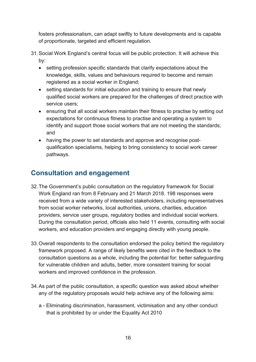fosters professionalism, can adapt swiftly to future developments and is capable of proportionate, targeted and efficient regulation.

- 31.Social Work England's central focus will be public protection. It will achieve this by:
	- setting profession specific standards that clarify expectations about the knowledge, skills, values and behaviours required to become and remain registered as a social worker in England;
	- setting standards for initial education and training to ensure that newly qualified social workers are prepared for the challenges of direct practice with service users;
	- ensuring that all social workers maintain their fitness to practise by setting out expectations for continuous fitness to practise and operating a system to identify and support those social workers that are not meeting the standards; and
	- having the power to set standards and approve and recognise postqualification specialisms, helping to bring consistency to social work career pathways.

#### <span id="page-15-0"></span>**Consultation and engagement**

- 32.The Government's public consultation on the regulatory framework for Social Work England ran from 8 February and 21 March 2018. 198 responses were received from a wide variety of interested stakeholders, including representatives from social worker networks, local authorities, unions, charities, education providers, service user groups, regulatory bodies and individual social workers. During the consultation period, officials also held 11 events, consulting with social workers, and education providers and engaging directly with young people.
- 33.Overall respondents to the consultation endorsed the policy behind the regulatory framework proposed. A range of likely benefits were cited in the feedback to the consultation questions as a whole, including the potential for: better safeguarding for vulnerable children and adults, better, more consistent training for social workers and improved confidence in the profession.
- 34.As part of the public consultation, a specific question was asked about whether any of the regulatory proposals would help achieve any of the following aims:
	- a Eliminating discrimination, harassment, victimisation and any other conduct that is prohibited by or under the Equality Act 2010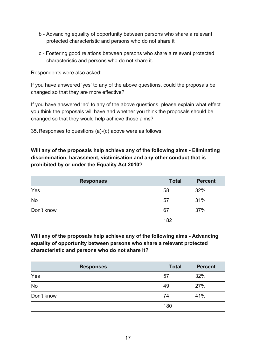- b Advancing equality of opportunity between persons who share a relevant protected characteristic and persons who do not share it
- c Fostering good relations between persons who share a relevant protected characteristic and persons who do not share it.

Respondents were also asked:

If you have answered 'yes' to any of the above questions, could the proposals be changed so that they are more effective?

If you have answered 'no' to any of the above questions, please explain what effect you think the proposals will have and whether you think the proposals should be changed so that they would help achieve those aims?

35.Responses to questions (a)-(c) above were as follows:

**Will any of the proposals help achieve any of the following aims - Eliminating discrimination, harassment, victimisation and any other conduct that is prohibited by or under the Equality Act 2010?**

| <b>Responses</b> | <b>Total</b> | <b>Percent</b> |
|------------------|--------------|----------------|
| Yes              | 58           | 32%            |
| <b>No</b>        | 57           | 31%            |
| Don't know       | 67           | 37%            |
|                  | 182          |                |

**Will any of the proposals help achieve any of the following aims - Advancing equality of opportunity between persons who share a relevant protected characteristic and persons who do not share it?**

| <b>Responses</b> | <b>Total</b> | <b>Percent</b> |
|------------------|--------------|----------------|
| Yes              | 57           | 32%            |
| <b>No</b>        | 49           | 27%            |
| Don't know       | 74           | 41%            |
|                  | 180          |                |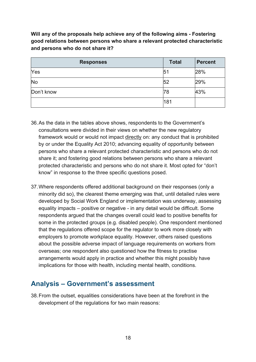**Will any of the proposals help achieve any of the following aims - Fostering good relations between persons who share a relevant protected characteristic and persons who do not share it?**

| <b>Responses</b> | <b>Total</b> | <b>Percent</b> |
|------------------|--------------|----------------|
| Yes              | 5            | 28%            |
| <b>No</b>        | 52           | 29%            |
| Don't know       | 78           | 43%            |
|                  | 181          |                |

- 36.As the data in the tables above shows, respondents to the Government's consultations were divided in their views on whether the new regulatory framework would or would not impact directly on: any conduct that is prohibited by or under the Equality Act 2010; advancing equality of opportunity between persons who share a relevant protected characteristic and persons who do not share it; and fostering good relations between persons who share a relevant protected characteristic and persons who do not share it. Most opted for "don't know" in response to the three specific questions posed.
- 37.Where respondents offered additional background on their responses (only a minority did so), the clearest theme emerging was that, until detailed rules were developed by Social Work England or implementation was underway, assessing equality impacts – positive or negative - in any detail would be difficult. Some respondents argued that the changes overall could lead to positive benefits for some in the protected groups (e.g. disabled people). One respondent mentioned that the regulations offered scope for the regulator to work more closely with employers to promote workplace equality. However, others raised questions about the possible adverse impact of language requirements on workers from overseas; one respondent also questioned how the fitness to practise arrangements would apply in practice and whether this might possibly have implications for those with health, including mental health, conditions.

#### <span id="page-17-0"></span>**Analysis – Government's assessment**

38.From the outset, equalities considerations have been at the forefront in the development of the regulations for two main reasons: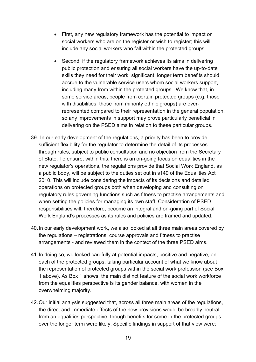- First, any new regulatory framework has the potential to impact on social workers who are on the register or wish to register; this will include any social workers who fall within the protected groups.
- Second, if the regulatory framework achieves its aims in delivering public protection and ensuring all social workers have the up-to-date skills they need for their work, significant, longer term benefits should accrue to the vulnerable service users whom social workers support, including many from within the protected groups. We know that, in some service areas, people from certain protected groups (e.g. those with disabilities, those from minority ethnic groups) are overrepresented compared to their representation in the general population, so any improvements in support may prove particularly beneficial in delivering on the PSED aims in relation to these particular groups.
- 39. In our early development of the regulations, a priority has been to provide sufficient flexibility for the regulator to determine the detail of its processes through rules, subject to public consultation and no objection from the Secretary of State. To ensure, within this, there is an on-going focus on equalities in the new regulator's operations, the regulations provide that Social Work England, as a public body, will be subject to the duties set out in s149 of the Equalities Act 2010. This will include considering the impacts of its decisions and detailed operations on protected groups both when developing and consulting on regulatory rules governing functions such as fitness to practise arrangements and when setting the policies for managing its own staff. Consideration of PSED responsibilities will, therefore, become an integral and on-going part of Social Work England's processes as its rules and policies are framed and updated.
- 40.In our early development work, we also looked at all three main areas covered by the regulations – registrations, course approvals and fitness to practise arrangements - and reviewed them in the context of the three PSED aims.
- 41.In doing so, we looked carefully at potential impacts, positive and negative, on each of the protected groups, taking particular account of what we know about the representation of protected groups within the social work profession (see Box 1 above). As Box 1 shows, the main distinct feature of the social work workforce from the equalities perspective is its gender balance, with women in the overwhelming majority.
- 42.Our initial analysis suggested that, across all three main areas of the regulations, the direct and immediate effects of the new provisions would be broadly neutral from an equalities perspective, though benefits for some in the protected groups over the longer term were likely. Specific findings in support of that view were: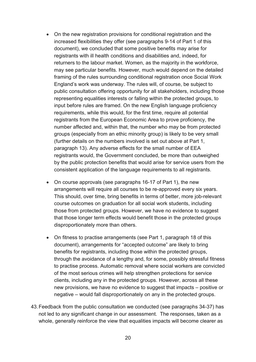- On the new registration provisions for conditional registration and the increased flexibilities they offer (see paragraphs 9-14 of Part 1 of this document), we concluded that some positive benefits may arise for registrants with ill health conditions and disabilities and, indeed, for returners to the labour market. Women, as the majority in the workforce, may see particular benefits. However, much would depend on the detailed framing of the rules surrounding conditional registration once Social Work England's work was underway. The rules will, of course, be subject to public consultation offering opportunity for all stakeholders, including those representing equalities interests or falling within the protected groups, to input before rules are framed. On the new English language proficiency requirements, while this would, for the first time, require all potential registrants from the European Economic Area to prove proficiency, the number affected and, within that, the number who may be from protected groups (especially from an ethic minority group) is likely to be very small (further details on the numbers involved is set out above at Part 1, paragraph 13). Any adverse effects for the small number of EEA registrants would, the Government concluded, be more than outweighed by the public protection benefits that would arise for service users from the consistent application of the language requirements to all registrants.
- On course approvals (see paragraphs 16-17 of Part 1), the new arrangements will require all courses to be re-approved every six years. This should, over time, bring benefits in terms of better, more job-relevant course outcomes on graduation for all social work students, including those from protected groups. However, we have no evidence to suggest that those longer term effects would benefit those in the protected groups disproportionately more than others.
- On fitness to practise arrangements (see Part 1, paragraph 18 of this document), arrangements for "accepted outcome" are likely to bring benefits for registrants, including those within the protected groups, through the avoidance of a lengthy and, for some, possibly stressful fitness to practise process. Automatic removal where social workers are convicted of the most serious crimes will help strengthen protections for service clients, including any in the protected groups. However, across all these new provisions, we have no evidence to suggest that impacts – positive or negative – would fall disproportionately on any in the protected groups.
- 43.Feedback from the public consultation we conducted (see paragraphs 34-37) has not led to any significant change in our assessment. The responses, taken as a whole, generally reinforce the view that equalities impacts will become clearer as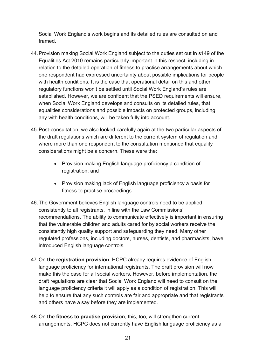Social Work England's work begins and its detailed rules are consulted on and framed.

- 44.Provision making Social Work England subject to the duties set out in s149 of the Equalities Act 2010 remains particularly important in this respect, including in relation to the detailed operation of fitness to practise arrangements about which one respondent had expressed uncertainty about possible implications for people with health conditions. It is the case that operational detail on this and other regulatory functions won't be settled until Social Work England's rules are established. However, we are confident that the PSED requirements will ensure, when Social Work England develops and consults on its detailed rules, that equalities considerations and possible impacts on protected groups, including any with health conditions, will be taken fully into account.
- 45.Post-consultation, we also looked carefully again at the two particular aspects of the draft regulations which are different to the current system of regulation and where more than one respondent to the consultation mentioned that equality considerations might be a concern. These were the:
	- Provision making English language proficiency a condition of registration; and
	- Provision making lack of English language proficiency a basis for fitness to practise proceedings.
- 46.The Government believes English language controls need to be applied consistently to all registrants, in line with the Law Commissions' recommendations. The ability to communicate effectively is important in ensuring that the vulnerable children and adults cared for by social workers receive the consistently high quality support and safeguarding they need. Many other regulated professions, including doctors, nurses, dentists, and pharmacists, have introduced English language controls.
- 47.On **the registration provision**, HCPC already requires evidence of English language proficiency for international registrants. The draft provision will now make this the case for all social workers. However, before implementation, the draft regulations are clear that Social Work England will need to consult on the language proficiency criteria it will apply as a condition of registration. This will help to ensure that any such controls are fair and appropriate and that registrants and others have a say before they are implemented.
- 48.On **the fitness to practise provision**, this, too, will strengthen current arrangements. HCPC does not currently have English language proficiency as a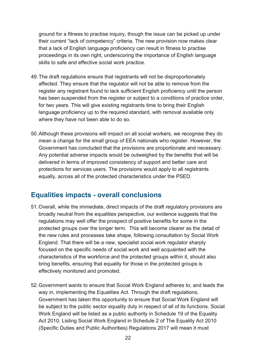ground for a fitness to practise inquiry, though the issue can be picked up under their current "lack of competency" criteria. The new provision now makes clear that a lack of English language proficiency can result in fitness to practise proceedings in its own right, underscoring the importance of English language skills to safe and effective social work practice.

- 49.The draft regulations ensure that registrants will not be disproportionately affected. They ensure that the regulator will not be able to remove from the register any registrant found to lack sufficient English proficiency until the person has been suspended from the register or subject to a conditions of practice order, for two years. This will give existing registrants time to bring their English language proficiency up to the required standard, with removal available only where they have not been able to do so.
- 50.Although these provisions will impact on all social workers, we recognise they do mean a change for the small group of EEA nationals who register. However, the Government has concluded that the provisions are proportionate and necessary. Any potential adverse impacts would be outweighed by the benefits that will be delivered in terms of improved consistency of support and better care and protections for services users. The provisions would apply to all registrants equally, across all of the protected characteristics under the PSED.

#### <span id="page-21-0"></span>**Equalities impacts - overall conclusions**

- 51.Overall, while the immediate, direct impacts of the draft regulatory provisions are broadly neutral from the equalities perspective, our evidence suggests that the regulations may well offer the prospect of positive benefits for some in the protected groups over the longer term. This will become clearer as the detail of the new rules and processes take shape, following consultation by Social Work England. That there will be a new, specialist social work regulator sharply focused on the specific needs of social work and well acquainted with the characteristics of the workforce and the protected groups within it, should also bring benefits, ensuring that equality for those in the protected groups is effectively monitored and promoted.
- 52.Government wants to ensure that Social Work England adheres to, and leads the way in, implementing the Equalities Act. Through the draft regulations, Government has taken this opportunity to ensure that Social Work England will be subject to the public sector equality duty in respect of all of its functions. Social Work England will be listed as a public authority in Schedule 19 of the Equality Act 2010. Listing Social Work England in Schedule 2 of The Equality Act 2010 (Specific Duties and Public Authorities) Regulations 2017 will mean it must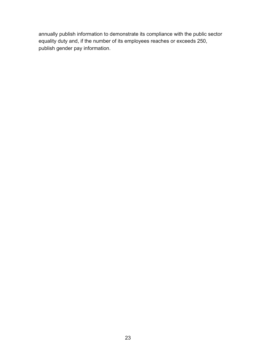annually publish information to demonstrate its compliance with the public sector equality duty and, if the number of its employees reaches or exceeds 250, publish gender pay information.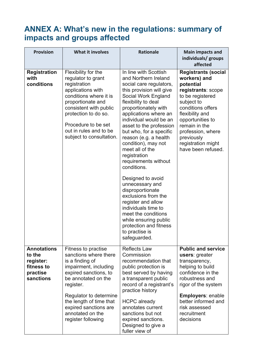## <span id="page-23-0"></span>**ANNEX A: What's new in the regulations: summary of impacts and groups affected**

| <b>Provision</b>                                                                 | <b>What it involves</b>                                                                                                                                                                                                                                                       | <b>Rationale</b>                                                                                                                                                                                                                                                                                                                                                                                                                                                                                                                                                                                                                                          | <b>Main impacts and</b><br>individuals/ groups<br>affected                                                                                                                                                                                                                  |
|----------------------------------------------------------------------------------|-------------------------------------------------------------------------------------------------------------------------------------------------------------------------------------------------------------------------------------------------------------------------------|-----------------------------------------------------------------------------------------------------------------------------------------------------------------------------------------------------------------------------------------------------------------------------------------------------------------------------------------------------------------------------------------------------------------------------------------------------------------------------------------------------------------------------------------------------------------------------------------------------------------------------------------------------------|-----------------------------------------------------------------------------------------------------------------------------------------------------------------------------------------------------------------------------------------------------------------------------|
| <b>Registration</b><br>with<br>conditions                                        | Flexibility for the<br>regulator to grant<br>registration<br>applications with<br>conditions where it is<br>proportionate and<br>consistent with public<br>protection to do so.<br>Procedure to be set<br>out in rules and to be<br>subject to consultation.                  | In line with Scottish<br>and Northern Ireland<br>social care regulators,<br>this provision will give<br>Social Work England<br>flexibility to deal<br>proportionately with<br>applications where an<br>individual would be an<br>asset to the profession<br>but who, for a specific<br>reason (e.g. a health<br>condition), may not<br>meet all of the<br>registration<br>requirements without<br>conditions.<br>Designed to avoid<br>unnecessary and<br>disproportionate<br>exclusions from the<br>register and allow<br>individuals time to<br>meet the conditions<br>while ensuring public<br>protection and fitness<br>to practise is<br>safeguarded. | <b>Registrants (social</b><br>workers) and<br>potential<br>registrants: scope<br>to be registered<br>subject to<br>conditions offers<br>flexibility and<br>opportunities to<br>remain in the<br>profession, where<br>previously<br>registration might<br>have been refused. |
| <b>Annotations</b><br>to the<br>register:<br>fitness to<br>practise<br>sanctions | Fitness to practise<br>sanctions where there<br>is a finding of<br>impairment, including<br>expired sanctions, to<br>be annotated on the<br>register.<br>Regulator to determine<br>the length of time that<br>expired sanctions are<br>annotated on the<br>register following | <b>Reflects Law</b><br>Commission<br>recommendation that<br>public protection is<br>best served by having<br>a transparent public<br>record of a registrant's<br>practice history<br><b>HCPC</b> already<br>annotates current<br>sanctions but not<br>expired sanctions.<br>Designed to give a<br>fuller view of                                                                                                                                                                                                                                                                                                                                          | <b>Public and service</b><br><b>users:</b> greater<br>transparency,<br>helping to build<br>confidence in the<br>robustness and<br>rigor of the system<br>Employers: enable<br>better informed and<br>risk assessed<br>recruitment<br>decisions                              |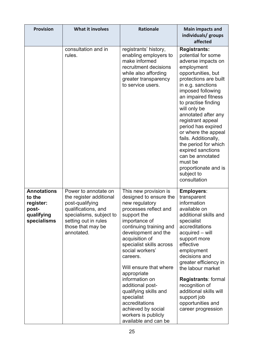| <b>Provision</b>                                                                | <b>What it involves</b>                                                                                                                                                         | <b>Rationale</b>                                                                                                                                                                                                                                                                                                                                                                                                                                                       | <b>Main impacts and</b><br>individuals/ groups<br>affected                                                                                                                                                                                                                                                                                                                                                                                                                              |
|---------------------------------------------------------------------------------|---------------------------------------------------------------------------------------------------------------------------------------------------------------------------------|------------------------------------------------------------------------------------------------------------------------------------------------------------------------------------------------------------------------------------------------------------------------------------------------------------------------------------------------------------------------------------------------------------------------------------------------------------------------|-----------------------------------------------------------------------------------------------------------------------------------------------------------------------------------------------------------------------------------------------------------------------------------------------------------------------------------------------------------------------------------------------------------------------------------------------------------------------------------------|
|                                                                                 | consultation and in<br>rules.                                                                                                                                                   | registrants' history,<br>enabling employers to<br>make informed<br>recruitment decisions<br>while also affording<br>greater transparency<br>to service users.                                                                                                                                                                                                                                                                                                          | <b>Registrants:</b><br>potential for some<br>adverse impacts on<br>employment<br>opportunities, but<br>protections are built<br>in e.g. sanctions<br>imposed following<br>an impaired fitness<br>to practise finding<br>will only be<br>annotated after any<br>registrant appeal<br>period has expired<br>or where the appeal<br>fails. Additionally,<br>the period for which<br>expired sanctions<br>can be annotated<br>must be<br>proportionate and is<br>subject to<br>consultation |
| <b>Annotations</b><br>to the<br>register:<br>post-<br>qualifying<br>specialisms | Power to annotate on<br>the register additional<br>post-qualifying<br>qualifications, and<br>specialisms, subject to<br>setting out in rules<br>those that may be<br>annotated. | This new provision is<br>designed to ensure the<br>new regulatory<br>processes reflect and<br>support the<br>importance of<br>continuing training and<br>development and the<br>acquisition of<br>specialist skills across<br>social workers'<br>careers.<br>Will ensure that where<br>appropriate<br>information on<br>additional post-<br>qualifying skills and<br>specialist<br>accreditations<br>achieved by social<br>workers is publicly<br>available and can be | <b>Employers:</b><br>transparent<br>information<br>available on<br>additional skills and<br>specialist<br>accreditations<br>acquired - will<br>support more<br>effective<br>employment<br>decisions and<br>greater efficiency in<br>the labour market<br><b>Registrants: formal</b><br>recognition of<br>additional skills will<br>support job<br>opportunities and<br>career progression                                                                                               |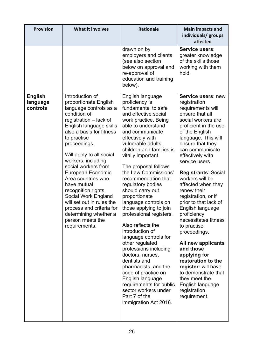| <b>Provision</b>                       | <b>What it involves</b>                                                                                                                                                                                                                                                                                                                                                                                                                                                                                    | <b>Rationale</b>                                                                                                                                                                                                                                                                                                                                                                                                                                                                                                                                                                                                                                                                                                                                                              | <b>Main impacts and</b><br>individuals/ groups<br>affected                                                                                                                                                                                                                                                                                                                                                                                                                                                                                                                                                                                                                  |
|----------------------------------------|------------------------------------------------------------------------------------------------------------------------------------------------------------------------------------------------------------------------------------------------------------------------------------------------------------------------------------------------------------------------------------------------------------------------------------------------------------------------------------------------------------|-------------------------------------------------------------------------------------------------------------------------------------------------------------------------------------------------------------------------------------------------------------------------------------------------------------------------------------------------------------------------------------------------------------------------------------------------------------------------------------------------------------------------------------------------------------------------------------------------------------------------------------------------------------------------------------------------------------------------------------------------------------------------------|-----------------------------------------------------------------------------------------------------------------------------------------------------------------------------------------------------------------------------------------------------------------------------------------------------------------------------------------------------------------------------------------------------------------------------------------------------------------------------------------------------------------------------------------------------------------------------------------------------------------------------------------------------------------------------|
|                                        |                                                                                                                                                                                                                                                                                                                                                                                                                                                                                                            | drawn on by<br>employers and clients<br>(see also section<br>below on approval and<br>re-approval of<br>education and training<br>below).                                                                                                                                                                                                                                                                                                                                                                                                                                                                                                                                                                                                                                     | Service users:<br>greater knowledge<br>of the skills those<br>working with them<br>hold.                                                                                                                                                                                                                                                                                                                                                                                                                                                                                                                                                                                    |
| <b>English</b><br>language<br>controls | Introduction of<br>proportionate English<br>language controls as a<br>condition of<br>registration - lack of<br>English language skills<br>also a basis for fitness<br>to practise<br>proceedings.<br>Will apply to all social<br>workers, including<br>social workers from<br>European Economic<br>Area countries who<br>have mutual<br>recognition rights.<br>Social Work England<br>will set out in rules the<br>process and criteria for<br>determining whether a<br>person meets the<br>requirements. | English language<br>proficiency is<br>fundamental to safe<br>and effective social<br>work practice. Being<br>able to understand<br>and communicate<br>effectively with<br>vulnerable adults,<br>children and families is<br>vitally important.<br>The proposal follows<br>the Law Commissions'<br>recommendation that<br>regulatory bodies<br>should carry out<br>proportionate<br>language controls on<br>those applying to join<br>professional registers.<br>Also reflects the<br>introduction of<br>language controls for<br>other regulated<br>professions including<br>doctors, nurses,<br>dentists and<br>pharmacists, and the<br>code of practice on<br>English language<br>requirements for public<br>sector workers under<br>Part 7 of the<br>immigration Act 2016. | Service users: new<br>registration<br>requirements will<br>ensure that all<br>social workers are<br>proficient in the use<br>of the English<br>language. This will<br>ensure that they<br>can communicate<br>effectively with<br>service users.<br><b>Registrants: Social</b><br>workers will be<br>affected when they<br>renew their<br>registration, or if<br>prior to that lack of<br>English language<br>proficiency<br>necessitates fitness<br>to practise<br>proceedings.<br>All new applicants<br>and those<br>applying for<br>restoration to the<br>register: will have<br>to demonstrate that<br>they meet the<br>English language<br>registration<br>requirement. |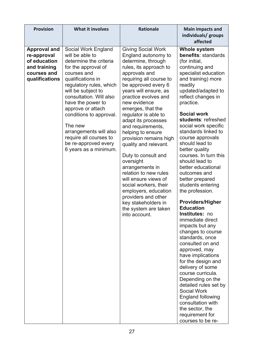| <b>Provision</b>                                                                                    | <b>What it involves</b>                                                                                                                                                                                                                                                                                                                                                                      | <b>Rationale</b>                                                                                                                                                                                                                                                                                                                                                                                                                                                                                                                                                                                                                                      | <b>Main impacts and</b><br>individuals/ groups<br>affected                                                                                                                                                                                                                                                                                                                                                                                                                                                                                                                                                                                                                                                                                                                                                                                                                                                                                              |
|-----------------------------------------------------------------------------------------------------|----------------------------------------------------------------------------------------------------------------------------------------------------------------------------------------------------------------------------------------------------------------------------------------------------------------------------------------------------------------------------------------------|-------------------------------------------------------------------------------------------------------------------------------------------------------------------------------------------------------------------------------------------------------------------------------------------------------------------------------------------------------------------------------------------------------------------------------------------------------------------------------------------------------------------------------------------------------------------------------------------------------------------------------------------------------|---------------------------------------------------------------------------------------------------------------------------------------------------------------------------------------------------------------------------------------------------------------------------------------------------------------------------------------------------------------------------------------------------------------------------------------------------------------------------------------------------------------------------------------------------------------------------------------------------------------------------------------------------------------------------------------------------------------------------------------------------------------------------------------------------------------------------------------------------------------------------------------------------------------------------------------------------------|
| <b>Approval and</b><br>re-approval<br>of education<br>and training<br>courses and<br>qualifications | Social Work England<br>will be able to<br>determine the criteria<br>for the approval of<br>courses and<br>qualifications in<br>regulatory rules, which<br>will be subject to<br>consultation. Will also<br>have the power to<br>approve or attach<br>conditions to approval.<br>The new<br>arrangements will also<br>require all courses to<br>be re-approved every<br>6 years as a minimum. | <b>Giving Social Work</b><br>England autonomy to<br>determine, through<br>rules, its approach to<br>approvals and<br>requiring all course to<br>be approved every 6<br>years will ensure, as<br>practice evolves and<br>new evidence<br>emerges, that the<br>regulator is able to<br>adapt its processes<br>and requirements,<br>helping to ensure<br>provision remains high<br>quality and relevant.<br>Duty to consult and<br>oversight<br>arrangements in<br>relation to new rules<br>will ensure views of<br>social workers, their<br>employers, education<br>providers and other<br>key stakeholders in<br>the system are taken<br>into account. | <b>Whole system</b><br>benefits: standards<br>(for initial,<br>continuing and<br>specialist education<br>and training) more<br>readily<br>updated/adapted to<br>reflect changes in<br>practice.<br><b>Social work</b><br>students: refreshed<br>social work specific<br>standards linked to<br>course approvals<br>should lead to<br>better quality<br>courses. In turn this<br>should lead to<br>better educational<br>outcomes and<br>better prepared<br>students entering<br>the profession.<br><b>Providers/Higher</b><br><b>Education</b><br>Institutes: no<br>immediate direct<br>impacts but any<br>changes to course<br>standards, once<br>consulted on and<br>approved, may<br>have implications<br>for the design and<br>delivery of some<br>course curricula.<br>Depending on the<br>detailed rules set by<br><b>Social Work</b><br><b>England following</b><br>consultation with<br>the sector, the<br>requirement for<br>courses to be re- |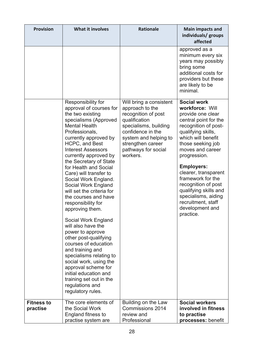| <b>Provision</b>              | <b>What it involves</b>                                                                                                                                                                                                                                                                                                                                                                                                                                                                                                                                                                                                                                                                                                                                                       | <b>Rationale</b>                                                                                                                                                                                                  | <b>Main impacts and</b><br>individuals/ groups<br>affected                                                                                                                                                                                                                                                                                                                                                      |
|-------------------------------|-------------------------------------------------------------------------------------------------------------------------------------------------------------------------------------------------------------------------------------------------------------------------------------------------------------------------------------------------------------------------------------------------------------------------------------------------------------------------------------------------------------------------------------------------------------------------------------------------------------------------------------------------------------------------------------------------------------------------------------------------------------------------------|-------------------------------------------------------------------------------------------------------------------------------------------------------------------------------------------------------------------|-----------------------------------------------------------------------------------------------------------------------------------------------------------------------------------------------------------------------------------------------------------------------------------------------------------------------------------------------------------------------------------------------------------------|
|                               |                                                                                                                                                                                                                                                                                                                                                                                                                                                                                                                                                                                                                                                                                                                                                                               |                                                                                                                                                                                                                   | approved as a<br>minimum every six<br>years may possibly<br>bring some<br>additional costs for<br>providers but these<br>are likely to be<br>minimal.                                                                                                                                                                                                                                                           |
|                               | Responsibility for<br>approval of courses for<br>the two existing<br>specialisms (Approved<br><b>Mental Health</b><br>Professionals,<br>currently approved by<br>HCPC, and Best<br><b>Interest Assessors</b><br>currently approved by<br>the Secretary of State<br>for Health and Social<br>Care) will transfer to<br>Social Work England.<br>Social Work England<br>will set the criteria for<br>the courses and have<br>responsibility for<br>approving them.<br>Social Work England<br>will also have the<br>power to approve<br>other post-qualifying<br>courses of education<br>and training and<br>specialisms relating to<br>social work, using the<br>approval scheme for<br>initial education and<br>training set out in the<br>regulations and<br>regulatory rules. | Will bring a consistent<br>approach to the<br>recognition of post<br>qualification<br>specialisms, building<br>confidence in the<br>system and helping to<br>strengthen career<br>pathways for social<br>workers. | <b>Social work</b><br>workforce: Will<br>provide one clear<br>central point for the<br>recognition of post-<br>qualifying skills,<br>which will benefit<br>those seeking job<br>moves and career<br>progression.<br><b>Employers:</b><br>clearer, transparent<br>framework for the<br>recognition of post<br>qualifying skills and<br>specialisms, aiding<br>recruitment, staff<br>development and<br>practice. |
| <b>Fitness to</b><br>practise | The core elements of<br>the Social Work<br>England fitness to<br>practise system are                                                                                                                                                                                                                                                                                                                                                                                                                                                                                                                                                                                                                                                                                          | Building on the Law<br><b>Commissions 2014</b><br>review and<br>Professional                                                                                                                                      | <b>Social workers</b><br>involved in fitness<br>to practise<br>processes: benefit                                                                                                                                                                                                                                                                                                                               |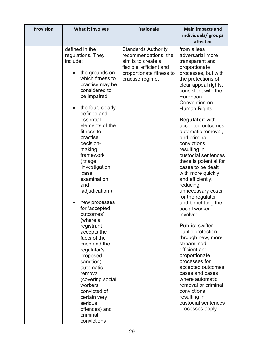|                                                                                                                                                                                                                                                                                                                                                                                                                                                                                                                                                                                                                                                                                |                                                                                                                                                     | <b>Main impacts and</b><br>individuals/ groups<br>affected                                                                                                                                                                                                                                                                                                                                                                                                                                                                                                                                                                                                                                                                                                                                                                                                      |
|--------------------------------------------------------------------------------------------------------------------------------------------------------------------------------------------------------------------------------------------------------------------------------------------------------------------------------------------------------------------------------------------------------------------------------------------------------------------------------------------------------------------------------------------------------------------------------------------------------------------------------------------------------------------------------|-----------------------------------------------------------------------------------------------------------------------------------------------------|-----------------------------------------------------------------------------------------------------------------------------------------------------------------------------------------------------------------------------------------------------------------------------------------------------------------------------------------------------------------------------------------------------------------------------------------------------------------------------------------------------------------------------------------------------------------------------------------------------------------------------------------------------------------------------------------------------------------------------------------------------------------------------------------------------------------------------------------------------------------|
| defined in the<br>regulations. They<br>include:<br>the grounds on<br>which fitness to<br>practise may be<br>considered to<br>be impaired<br>the four, clearly<br>defined and<br>essential<br>elements of the<br>fitness to<br>practise<br>decision-<br>making<br>framework<br>('triage',<br>'investigation',<br>'case<br>examination'<br>and<br>'adjudication')<br>new processes<br>for 'accepted<br>outcomes'<br>(where a<br>registrant<br>accepts the<br>facts of the<br>case and the<br>regulator's<br>proposed<br>sanction),<br>automatic<br>removal<br>(covering social<br>workers<br>convicted of<br>certain very<br>serious<br>offences) and<br>criminal<br>convictions | <b>Standards Authority</b><br>recommendations, the<br>aim is to create a<br>flexible, efficient and<br>proportionate fitness to<br>practise regime. | from a less<br>adversarial more<br>transparent and<br>proportionate<br>processes, but with<br>the protections of<br>clear appeal rights,<br>consistent with the<br>European<br>Convention on<br>Human Rights.<br><b>Regulator: with</b><br>accepted outcomes,<br>automatic removal,<br>and criminal<br>convictions<br>resulting in<br>custodial sentences<br>there is potential for<br>cases to be dealt<br>with more quickly<br>and efficiently,<br>reducing<br>unnecessary costs<br>for the regulator<br>and benefitting the<br>social worker<br>involved.<br><b>Public: swifter</b><br>public protection<br>through new, more<br>streamlined,<br>efficient and<br>proportionate<br>processes for<br>accepted outcomes<br>cases and cases<br>where automatic<br>removal or criminal<br>convictions<br>resulting in<br>custodial sentences<br>processes apply. |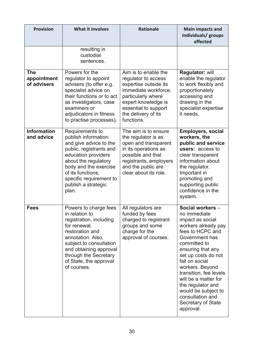| <b>Provision</b>                         | <b>What it involves</b>                                                                                                                                                                                                                             | <b>Rationale</b>                                                                                                                                                                                       | <b>Main impacts and</b><br>individuals/ groups<br>affected                                                                                                                                                                                                                                                                                                              |
|------------------------------------------|-----------------------------------------------------------------------------------------------------------------------------------------------------------------------------------------------------------------------------------------------------|--------------------------------------------------------------------------------------------------------------------------------------------------------------------------------------------------------|-------------------------------------------------------------------------------------------------------------------------------------------------------------------------------------------------------------------------------------------------------------------------------------------------------------------------------------------------------------------------|
|                                          | resulting in<br>custodial<br>sentences.                                                                                                                                                                                                             |                                                                                                                                                                                                        |                                                                                                                                                                                                                                                                                                                                                                         |
| <b>The</b><br>appointment<br>of advisers | Powers for the<br>regulator to appoint<br>advisers (to offer e.g.<br>specialist advice on<br>their functions or to act<br>as investigators, case<br>examiners or<br>adjudicators in fitness<br>to practise processes).                              | Aim is to enable the<br>regulator to access<br>expertise outside its<br>immediate workforce,<br>particularly where<br>expert knowledge is<br>essential to support<br>the delivery of its<br>functions. | <b>Regulator: will</b><br>enable the regulator<br>to work flexibly and<br>proportionately<br>accessing and<br>drawing in the<br>specialist expertise<br>it needs.                                                                                                                                                                                                       |
| <b>Information</b><br>and advice         | Requirements to<br>publish information<br>and give advice to the<br>public, registrants and<br>education providers<br>about the regulatory<br>body and the exercise<br>of its functions;<br>specific requirement to<br>publish a strategic<br>plan. | The aim is to ensure<br>the regulator is as<br>open and transparent<br>in its operations as<br>possible and that<br>registrants, employers<br>and the public are<br>clear about its role.              | <b>Employers, social</b><br>workers, the<br>public and service<br>users: access to<br>clear transparent<br>information about<br>the regulator.<br>Important in<br>promoting and<br>supporting public<br>confidence in the<br>system.                                                                                                                                    |
| <b>Fees</b>                              | Powers to charge fees<br>in relation to<br>registration, including<br>for renewal,<br>restoration and<br>annotation. Also,<br>subject to consultation<br>and obtaining approval<br>through the Secretary<br>of State, the approval<br>of courses.   | All regulators are<br>funded by fees<br>charged to registrant<br>groups and some<br>charge for the<br>approval of courses.                                                                             | Social workers -<br>no immediate<br>impact as social<br>workers already pay<br>fees to HCPC and<br>Government has<br>committed to<br>ensuring that any<br>set up costs do not<br>fall on social<br>workers. Beyond<br>transition, fee levels<br>will be a matter for<br>the regulator and<br>would be subject to<br>consultation and<br>Secretary of State<br>approval. |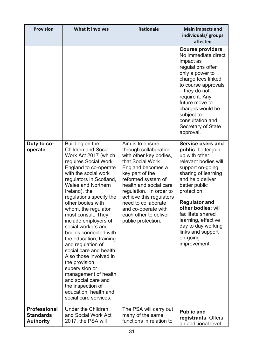| <b>Provision</b>                                            | What it involves                                                                                                                                                                                                                                                                                                                                                                                                                                                                                                                                                                    | <b>Rationale</b>                                                                                                                                                                                                                                                                                                                    | <b>Main impacts and</b><br>individuals/ groups<br>affected                                                                                                                                                                                                                                                                                                                                                                                                                                                                                                                                                                                                   |
|-------------------------------------------------------------|-------------------------------------------------------------------------------------------------------------------------------------------------------------------------------------------------------------------------------------------------------------------------------------------------------------------------------------------------------------------------------------------------------------------------------------------------------------------------------------------------------------------------------------------------------------------------------------|-------------------------------------------------------------------------------------------------------------------------------------------------------------------------------------------------------------------------------------------------------------------------------------------------------------------------------------|--------------------------------------------------------------------------------------------------------------------------------------------------------------------------------------------------------------------------------------------------------------------------------------------------------------------------------------------------------------------------------------------------------------------------------------------------------------------------------------------------------------------------------------------------------------------------------------------------------------------------------------------------------------|
| Duty to co-<br>operate                                      | Building on the<br><b>Children and Social</b><br>Work Act 2017 (which<br>requires Social Work<br>England to co-operate<br>with the social work<br>regulators in Scotland,<br><b>Wales and Northern</b><br>Ireland), the<br>regulations specify the<br>other bodies with<br>whom, the regulator<br>must consult. They<br>include employers of<br>social workers and<br>bodies connected with<br>the education, training<br>and regulation of<br>social care and health.<br>Also those involved in<br>the provision,<br>supervision or<br>management of health<br>and social care and | Aim is to ensure,<br>through collaboration<br>with other key bodies,<br>that Social Work<br>England becomes a<br>key part of the<br>reformed system of<br>health and social care<br>regulation. In order to<br>achieve this regulators<br>need to collaborate<br>and co-operate with<br>each other to deliver<br>public protection. | <b>Course providers.</b><br>No immediate direct<br>impact as<br>regulations offer<br>only a power to<br>charge fees linked<br>to course approvals<br>- they do not<br>require it. Any<br>future move to<br>charges would be<br>subject to<br>consultation and<br>Secretary of State<br>approval.<br><b>Service users and</b><br>public: better join<br>up with other<br>relevant bodies will<br>support on-going<br>sharing of learning<br>and help deliver<br>better public<br>protection.<br><b>Regulator and</b><br>other bodies: will<br>facilitate shared<br>learning, effective<br>day to day working<br>links and support<br>on-going<br>improvement. |
|                                                             | the inspection of<br>education, health and<br>social care services.                                                                                                                                                                                                                                                                                                                                                                                                                                                                                                                 |                                                                                                                                                                                                                                                                                                                                     |                                                                                                                                                                                                                                                                                                                                                                                                                                                                                                                                                                                                                                                              |
| <b>Professional</b><br><b>Standards</b><br><b>Authority</b> | <b>Under the Children</b><br>and Social Work Act<br>2017, the PSA will                                                                                                                                                                                                                                                                                                                                                                                                                                                                                                              | The PSA will carry out<br>many of the same<br>functions in relation to                                                                                                                                                                                                                                                              | <b>Public and</b><br>registrants: Offers<br>an additional level                                                                                                                                                                                                                                                                                                                                                                                                                                                                                                                                                                                              |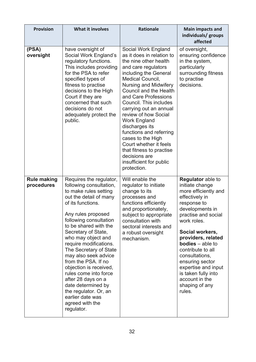| <b>Provision</b>                 | <b>What it involves</b>                                                                                                                                                                                                                                                                                                                                                                                                                                                                                                          | <b>Rationale</b>                                                                                                                                                                                                                                                                                                                                                                                                                                                                                                             | <b>Main impacts and</b><br>individuals/ groups<br>affected                                                                                                                                                                                                                                                                                                                                |
|----------------------------------|----------------------------------------------------------------------------------------------------------------------------------------------------------------------------------------------------------------------------------------------------------------------------------------------------------------------------------------------------------------------------------------------------------------------------------------------------------------------------------------------------------------------------------|------------------------------------------------------------------------------------------------------------------------------------------------------------------------------------------------------------------------------------------------------------------------------------------------------------------------------------------------------------------------------------------------------------------------------------------------------------------------------------------------------------------------------|-------------------------------------------------------------------------------------------------------------------------------------------------------------------------------------------------------------------------------------------------------------------------------------------------------------------------------------------------------------------------------------------|
| (PSA)<br>oversight               | have oversight of<br>Social Work England's<br>regulatory functions.<br>This includes providing<br>for the PSA to refer<br>specified types of<br>fitness to practise<br>decisions to the High<br>Court if they are<br>concerned that such<br>decisions do not<br>adequately protect the<br>public.                                                                                                                                                                                                                                | Social Work England<br>as it does in relation to<br>the nine other health<br>and care regulators<br>including the General<br>Medical Council,<br><b>Nursing and Midwifery</b><br><b>Council and the Health</b><br>and Care Professions<br>Council. This includes<br>carrying out an annual<br>review of how Social<br><b>Work England</b><br>discharges its<br>functions and referring<br>cases to the High<br>Court whether it feels<br>that fitness to practise<br>decisions are<br>insufficient for public<br>protection. | of oversight,<br>ensuring confidence<br>in the system,<br>particularly<br>surrounding fitness<br>to practise<br>decisions.                                                                                                                                                                                                                                                                |
| <b>Rule making</b><br>procedures | Requires the regulator,<br>following consultation,<br>to make rules setting<br>out the detail of many<br>of its functions.<br>Any rules proposed<br>following consultation<br>to be shared with the<br>Secretary of State,<br>who may object and<br>require modifications.<br>The Secretary of State<br>may also seek advice<br>from the PSA. If no<br>objection is received,<br>rules come into force<br>after 28 days on a<br>date determined by<br>the regulator. Or, an<br>earlier date was<br>agreed with the<br>regulator. | Will enable the<br>regulator to initiate<br>change to its<br>processes and<br>functions efficiently<br>and proportionately,<br>subject to appropriate<br>consultation with<br>sectoral interests and<br>a robust oversight<br>mechanism.                                                                                                                                                                                                                                                                                     | <b>Regulator</b> able to<br>initiate change<br>more efficiently and<br>effectively in<br>response to<br>developments in<br>practise and social<br>work roles.<br>Social workers,<br>providers, related<br><b>bodies</b> $-$ able to<br>contribute to all<br>consultations,<br>ensuring sector<br>expertise and input<br>is taken fully into<br>account in the<br>shaping of any<br>rules. |